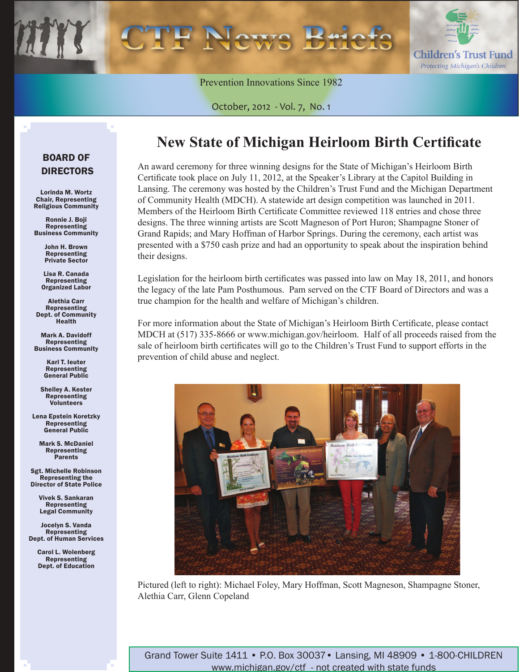

Prevention Innovations Since 1982

October, 2012 - Vol. 7, No. 1

### BOARD OF DIRECTORS

Lorinda M. Wortz Chair, Representing Religious Community

Ronnie J. Boji Representing Business Community

> John H. Brown Representing Private Sector

Lisa R. Canada Representing Organized Labor

Alethia Carr Representing Dept. of Community Health

Mark A. Davidoff Representing Business Community

> Karl T. Ieuter Representing General Public

Shelley A. Kester **Representing** Volunteers

Lena Epstein Koretzky Representing General Public

Mark S. McDaniel Representing **Parents** 

Sgt. Michelle Robinson Representing the Director of State Police

> Vivek S. Sankaran Representing Legal Community

Jocelyn S. Vanda Representing Dept. of Human Services

> Carol L. Wolenberg Representing Dept. of Education

### **New State of Michigan Heirloom Birth Certificate**

An award ceremony for three winning designs for the State of Michigan's Heirloom Birth Certificate took place on July 11, 2012, at the Speaker's Library at the Capitol Building in Lansing. The ceremony was hosted by the Children's Trust Fund and the Michigan Department of Community Health (MDCH). A statewide art design competition was launched in 2011. Members of the Heirloom Birth Certificate Committee reviewed 118 entries and chose three designs. The three winning artists are Scott Magneson of Port Huron; Shampagne Stoner of Grand Rapids; and Mary Hoffman of Harbor Springs. During the ceremony, each artist was presented with a \$750 cash prize and had an opportunity to speak about the inspiration behind their designs.

Legislation for the heirloom birth certificates was passed into law on May 18, 2011, and honors the legacy of the late Pam Posthumous. Pam served on the CTF Board of Directors and was a true champion for the health and welfare of Michigan's children.

For more information about the State of Michigan's Heirloom Birth Certificate, please contact MDCH at (517) 335-8666 or www.michigan.gov/heirloom. Half of all proceeds raised from the sale of heirloom birth certificates will go to the Children's Trust Fund to support efforts in the prevention of child abuse and neglect.



Pictured (left to right): Michael Foley, Mary Hoffman, Scott Magneson, Shampagne Stoner, Alethia Carr, Glenn Copeland

Grand Tower Suite 1411 • P.O. Box 30037• Lansing, MI 48909 • 1-800-CHILDREN www.michigan.gov/ctf - not created with state funds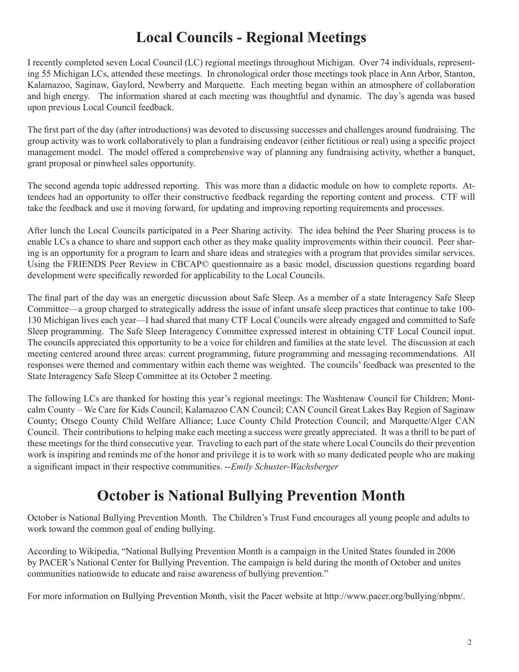# **Local Councils - Regional Meetings**

I recently completed seven Local Council (LC) regional meetings throughout Michigan. Over 74 individuals, representing 55 Michigan LCs, attended these meetings. In chronological order those meetings took place in Ann Arbor, Stanton, Kalamazoo, Saginaw, Gaylord, Newberry and Marquette. Each meeting began within an atmosphere of collaboration and high energy. The information shared at each meeting was thoughtful and dynamic. The day's agenda was based upon previous Local Council feedback.

The first part of the day (after introductions) was devoted to discussing successes and challenges around fundraising. The group activity was to work collaboratively to plan a fundraising endeavor (either fictitious or real) using a specific project management model. The model offered a comprehensive way of planning any fundraising activity, whether a banquet, grant proposal or pinwheel sales opportunity.

The second agenda topic addressed reporting. This was more than a didactic module on how to complete reports. Attendees had an opportunity to offer their constructive feedback regarding the reporting content and process. CTF will take the feedback and use it moving forward, for updating and improving reporting requirements and processes.

After lunch the Local Councils participated in a Peer Sharing activity. The idea behind the Peer Sharing process is to enable LCs a chance to share and support each other as they make quality improvements within their council. Peer sharing is an opportunity for a program to learn and share ideas and strategies with a program that provides similar services. Using the FRIENDS Peer Review in CBCAP© questionnaire as a basic model, discussion questions regarding board development were specifically reworded for applicability to the Local Councils.

The final part of the day was an energetic discussion about Safe Sleep. As a member of a state Interagency Safe Sleep Committee—a group charged to strategically address the issue of infant unsafe sleep practices that continue to take 100- 130 Michigan lives each year—I had shared that many CTF Local Councils were already engaged and committed to Safe Sleep programming. The Safe Sleep Interagency Committee expressed interest in obtaining CTF Local Council input. The councils appreciated this opportunity to be a voice for children and families at the state level. The discussion at each meeting centered around three areas: current programming, future programming and messaging recommendations. All responses were themed and commentary within each theme was weighted. The councils' feedback was presented to the State Interagency Safe Sleep Committee at its October 2 meeting.

The following LCs are thanked for hosting this year's regional meetings: The Washtenaw Council for Children; Montcalm County – We Care for Kids Council; Kalamazoo CAN Council; CAN Council Great Lakes Bay Region of Saginaw County; Otsego County Child Welfare Alliance; Luce County Child Protection Council; and Marquette/Alger CAN Council. Their contributions to helping make each meeting a success were greatly appreciated. It was a thrill to be part of these meetings for the third consecutive year. Traveling to each part of the state where Local Councils do their prevention work is inspiring and reminds me of the honor and privilege it is to work with so many dedicated people who are making a significant impact in their respective communities. --*Emily Schuster-Wachsberger* 

# **October is National Bullying Prevention Month**

October is National Bullying Prevention Month. The Children's Trust Fund encourages all young people and adults to work toward the common goal of ending bullying.

According to Wikipedia, "National Bullying Prevention Month is a campaign in the United States founded in 2006 by PACER's National Center for Bullying Prevention. The campaign is held during the month of October and unites communities nationwide to educate and raise awareness of bullying prevention."

For more information on Bullying Prevention Month, visit the Pacer website at http://www.pacer.org/bullying/nbpm/.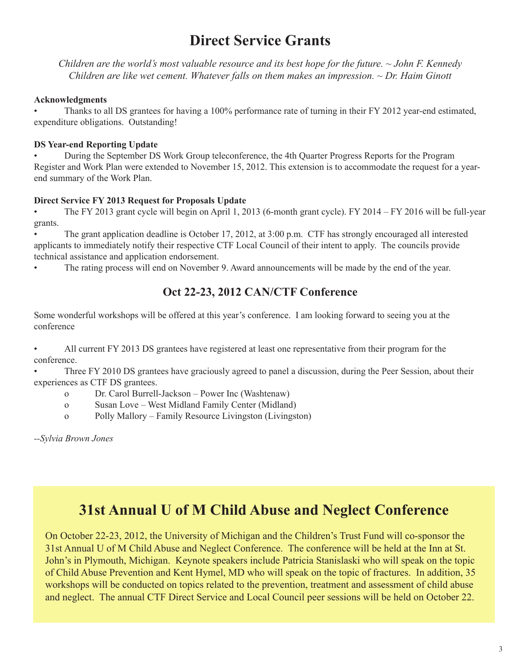### **Direct Service Grants**

*Children are the world's most valuable resource and its best hope for the future. ~ John F. Kennedy Children are like wet cement. Whatever falls on them makes an impression. ~ Dr. Haim Ginott*

#### **Acknowledgments**

• Thanks to all DS grantees for having a 100% performance rate of turning in their FY 2012 year-end estimated, expenditure obligations. Outstanding!

#### **DS Year-end Reporting Update**

• During the September DS Work Group teleconference, the 4th Quarter Progress Reports for the Program Register and Work Plan were extended to November 15, 2012. This extension is to accommodate the request for a yearend summary of the Work Plan.

### **Direct Service FY 2013 Request for Proposals Update**

• The FY 2013 grant cycle will begin on April 1, 2013 (6-month grant cycle). FY 2014 – FY 2016 will be full-year grants.

• The grant application deadline is October 17, 2012, at 3:00 p.m. CTF has strongly encouraged all interested applicants to immediately notify their respective CTF Local Council of their intent to apply. The councils provide technical assistance and application endorsement.

• The rating process will end on November 9. Award announcements will be made by the end of the year.

### **Oct 22-23, 2012 CAN/CTF Conference**

Some wonderful workshops will be offered at this year's conference. I am looking forward to seeing you at the conference

• All current FY 2013 DS grantees have registered at least one representative from their program for the conference.

• Three FY 2010 DS grantees have graciously agreed to panel a discussion, during the Peer Session, about their experiences as CTF DS grantees.

o Dr. Carol Burrell-Jackson – Power Inc (Washtenaw)

- o Susan Love West Midland Family Center (Midland)
- o Polly Mallory Family Resource Livingston (Livingston)

*--Sylvia Brown Jones*

### **31st Annual U of M Child Abuse and Neglect Conference**

On October 22-23, 2012, the University of Michigan and the Children's Trust Fund will co-sponsor the 31st Annual U of M Child Abuse and Neglect Conference. The conference will be held at the Inn at St. John's in Plymouth, Michigan. Keynote speakers include Patricia Stanislaski who will speak on the topic of Child Abuse Prevention and Kent Hymel, MD who will speak on the topic of fractures. In addition, 35 workshops will be conducted on topics related to the prevention, treatment and assessment of child abuse and neglect. The annual CTF Direct Service and Local Council peer sessions will be held on October 22.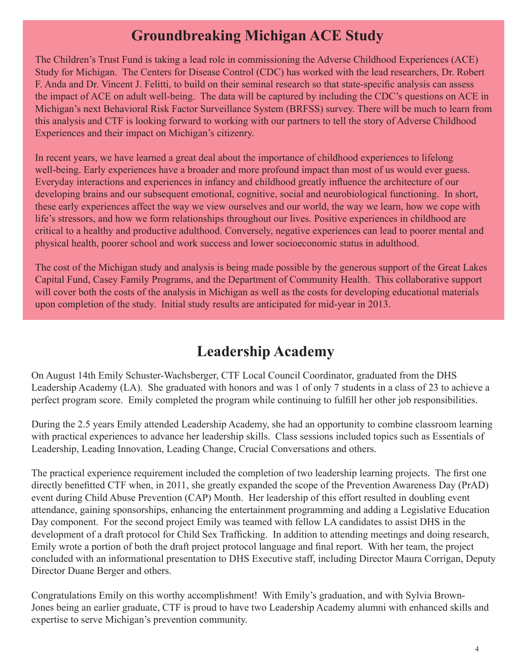# **Groundbreaking Michigan ACE Study**

The Children's Trust Fund is taking a lead role in commissioning the Adverse Childhood Experiences (ACE) Study for Michigan. The Centers for Disease Control (CDC) has worked with the lead researchers, Dr. Robert F. Anda and Dr. Vincent J. Felitti, to build on their seminal research so that state-specific analysis can assess the impact of ACE on adult well-being. The data will be captured by including the CDC's questions on ACE in Michigan's next Behavioral Risk Factor Surveillance System (BRFSS) survey. There will be much to learn from this analysis and CTF is looking forward to working with our partners to tell the story of Adverse Childhood Experiences and their impact on Michigan's citizenry.

In recent years, we have learned a great deal about the importance of childhood experiences to lifelong well-being. Early experiences have a broader and more profound impact than most of us would ever guess. Everyday interactions and experiences in infancy and childhood greatly influence the architecture of our developing brains and our subsequent emotional, cognitive, social and neurobiological functioning. In short, these early experiences affect the way we view ourselves and our world, the way we learn, how we cope with life's stressors, and how we form relationships throughout our lives. Positive experiences in childhood are critical to a healthy and productive adulthood. Conversely, negative experiences can lead to poorer mental and physical health, poorer school and work success and lower socioeconomic status in adulthood.

The cost of the Michigan study and analysis is being made possible by the generous support of the Great Lakes Capital Fund, Casey Family Programs, and the Department of Community Health. This collaborative support will cover both the costs of the analysis in Michigan as well as the costs for developing educational materials upon completion of the study. Initial study results are anticipated for mid-year in 2013.

# **Leadership Academy**

On August 14th Emily Schuster-Wachsberger, CTF Local Council Coordinator, graduated from the DHS Leadership Academy (LA). She graduated with honors and was 1 of only 7 students in a class of 23 to achieve a perfect program score. Emily completed the program while continuing to fulfill her other job responsibilities.

During the 2.5 years Emily attended Leadership Academy, she had an opportunity to combine classroom learning with practical experiences to advance her leadership skills. Class sessions included topics such as Essentials of Leadership, Leading Innovation, Leading Change, Crucial Conversations and others.

The practical experience requirement included the completion of two leadership learning projects. The first one directly benefitted CTF when, in 2011, she greatly expanded the scope of the Prevention Awareness Day (PrAD) event during Child Abuse Prevention (CAP) Month. Her leadership of this effort resulted in doubling event attendance, gaining sponsorships, enhancing the entertainment programming and adding a Legislative Education Day component. For the second project Emily was teamed with fellow LA candidates to assist DHS in the development of a draft protocol for Child Sex Trafficking. In addition to attending meetings and doing research, Emily wrote a portion of both the draft project protocol language and final report. With her team, the project concluded with an informational presentation to DHS Executive staff, including Director Maura Corrigan, Deputy Director Duane Berger and others.

Congratulations Emily on this worthy accomplishment! With Emily's graduation, and with Sylvia Brown-Jones being an earlier graduate, CTF is proud to have two Leadership Academy alumni with enhanced skills and expertise to serve Michigan's prevention community.